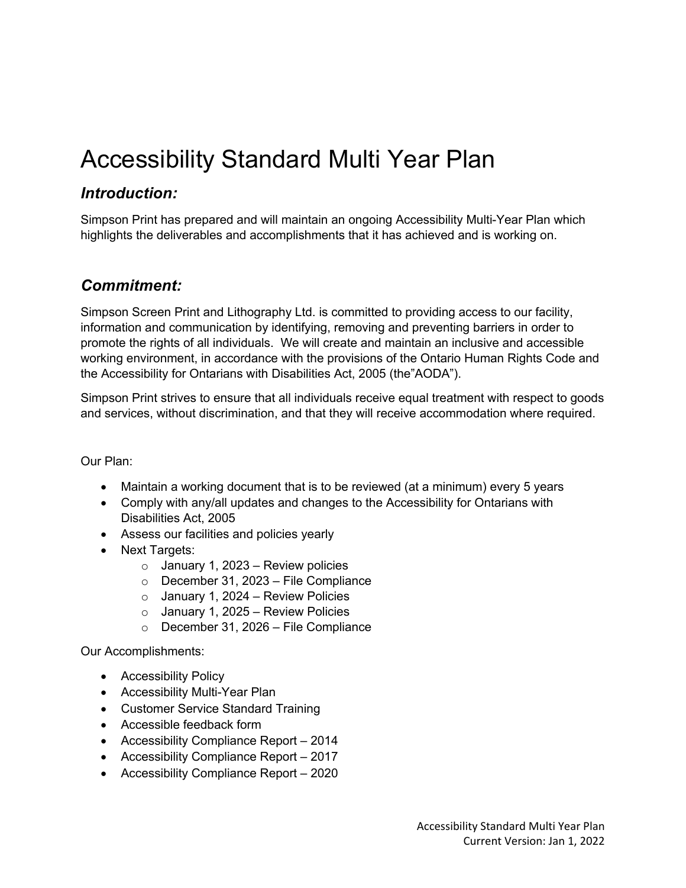## Accessibility Standard Multi Year Plan

## *Introduction:*

Simpson Print has prepared and will maintain an ongoing Accessibility Multi-Year Plan which highlights the deliverables and accomplishments that it has achieved and is working on.

## *Commitment:*

Simpson Screen Print and Lithography Ltd. is committed to providing access to our facility, information and communication by identifying, removing and preventing barriers in order to promote the rights of all individuals. We will create and maintain an inclusive and accessible working environment, in accordance with the provisions of the Ontario Human Rights Code and the Accessibility for Ontarians with Disabilities Act, 2005 (the"AODA").

Simpson Print strives to ensure that all individuals receive equal treatment with respect to goods and services, without discrimination, and that they will receive accommodation where required.

Our Plan:

- Maintain a working document that is to be reviewed (at a minimum) every 5 years
- Comply with any/all updates and changes to the Accessibility for Ontarians with Disabilities Act, 2005
- Assess our facilities and policies yearly
- Next Targets:
	- $\circ$  January 1, 2023 Review policies
	- o December 31, 2023 File Compliance
	- $\circ$  January 1, 2024 Review Policies
	- $\circ$  January 1, 2025 Review Policies
	- o December 31, 2026 File Compliance

Our Accomplishments:

- Accessibility Policy
- Accessibility Multi-Year Plan
- Customer Service Standard Training
- Accessible feedback form
- Accessibility Compliance Report 2014
- Accessibility Compliance Report 2017
- Accessibility Compliance Report 2020